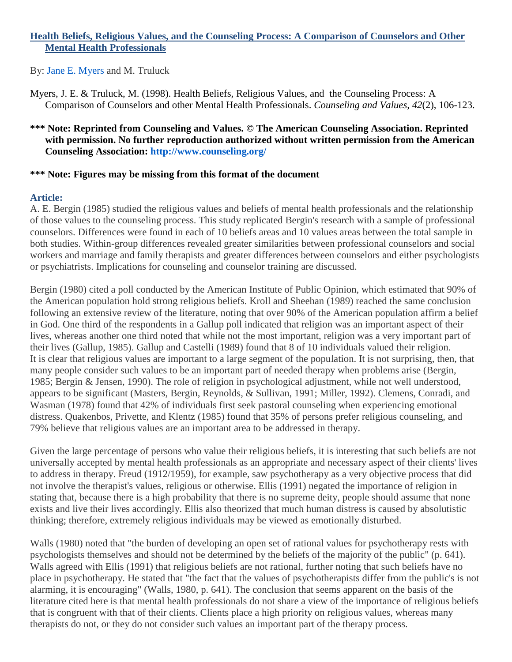# **Health Beliefs, Religious Values, and the Counseling Process: A Comparison of Counselors and Other Mental Health Professionals**

By: [Jane E. Myers](http://libres.uncg.edu/ir/uncg/clist.aspx?id=1096) and M. Truluck

- Myers, J. E. & Truluck, M. (1998). Health Beliefs, Religious Values, and the Counseling Process: A Comparison of Counselors and other Mental Health Professionals. *Counseling and Values, 42*(2), 106-123.
- **\*\*\* Note: Reprinted from Counseling and Values. © The American Counseling Association. Reprinted with permission. No further reproduction authorized without written permission from the American Counseling Association:<http://www.counseling.org/>**

# **\*\*\* Note: Figures may be missing from this format of the document**

# **Article:**

A. E. Bergin (1985) studied the religious values and beliefs of mental health professionals and the relationship of those values to the counseling process. This study replicated Bergin's research with a sample of professional counselors. Differences were found in each of 10 beliefs areas and 10 values areas between the total sample in both studies. Within-group differences revealed greater similarities between professional counselors and social workers and marriage and family therapists and greater differences between counselors and either psychologists or psychiatrists. Implications for counseling and counselor training are discussed.

Bergin (1980) cited a poll conducted by the American Institute of Public Opinion, which estimated that 90% of the American population hold strong religious beliefs. Kroll and Sheehan (1989) reached the same conclusion following an extensive review of the literature, noting that over 90% of the American population affirm a belief in God. One third of the respondents in a Gallup poll indicated that religion was an important aspect of their lives, whereas another one third noted that while not the most important, religion was a very important part of their lives (Gallup, 1985). Gallup and Castelli (1989) found that 8 of 10 individuals valued their religion. It is clear that religious values are important to a large segment of the population. It is not surprising, then, that many people consider such values to be an important part of needed therapy when problems arise (Bergin, 1985; Bergin & Jensen, 1990). The role of religion in psychological adjustment, while not well understood, appears to be significant (Masters, Bergin, Reynolds, & Sullivan, 1991; Miller, 1992). Clemens, Conradi, and Wasman (1978) found that 42% of individuals first seek pastoral counseling when experiencing emotional distress. Quakenbos, Privette, and Klentz (1985) found that 35% of persons prefer religious counseling, and 79% believe that religious values are an important area to be addressed in therapy.

Given the large percentage of persons who value their religious beliefs, it is interesting that such beliefs are not universally accepted by mental health professionals as an appropriate and necessary aspect of their clients' lives to address in therapy. Freud (1912/1959), for example, saw psychotherapy as a very objective process that did not involve the therapist's values, religious or otherwise. Ellis (1991) negated the importance of religion in stating that, because there is a high probability that there is no supreme deity, people should assume that none exists and live their lives accordingly. Ellis also theorized that much human distress is caused by absolutistic thinking; therefore, extremely religious individuals may be viewed as emotionally disturbed.

Walls (1980) noted that "the burden of developing an open set of rational values for psychotherapy rests with psychologists themselves and should not be determined by the beliefs of the majority of the public" (p. 641). Walls agreed with Ellis (1991) that religious beliefs are not rational, further noting that such beliefs have no place in psychotherapy. He stated that "the fact that the values of psychotherapists differ from the public's is not alarming, it is encouraging" (Walls, 1980, p. 641). The conclusion that seems apparent on the basis of the literature cited here is that mental health professionals do not share a view of the importance of religious beliefs that is congruent with that of their clients. Clients place a high priority on religious values, whereas many therapists do not, or they do not consider such values an important part of the therapy process.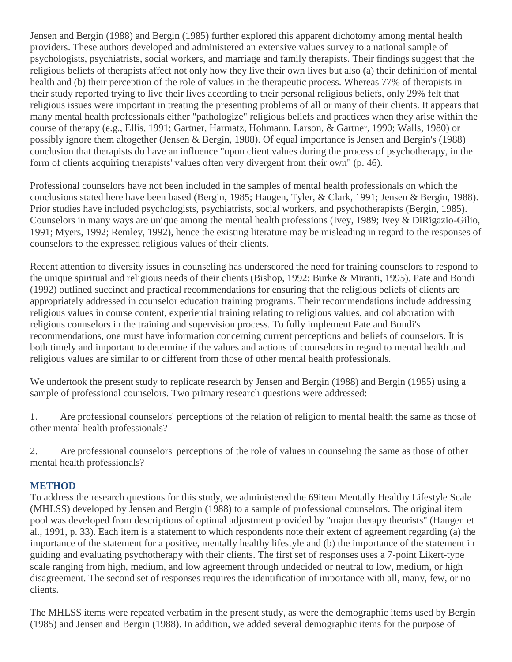Jensen and Bergin (1988) and Bergin (1985) further explored this apparent dichotomy among mental health providers. These authors developed and administered an extensive values survey to a national sample of psychologists, psychiatrists, social workers, and marriage and family therapists. Their findings suggest that the religious beliefs of therapists affect not only how they live their own lives but also (a) their definition of mental health and (b) their perception of the role of values in the therapeutic process. Whereas 77% of therapists in their study reported trying to live their lives according to their personal religious beliefs, only 29% felt that religious issues were important in treating the presenting problems of all or many of their clients. It appears that many mental health professionals either "pathologize" religious beliefs and practices when they arise within the course of therapy (e.g., Ellis, 1991; Gartner, Harmatz, Hohmann, Larson, & Gartner, 1990; Walls, 1980) or possibly ignore them altogether (Jensen & Bergin, 1988). Of equal importance is Jensen and Bergin's (1988) conclusion that therapists do have an influence "upon client values during the process of psychotherapy, in the form of clients acquiring therapists' values often very divergent from their own" (p. 46).

Professional counselors have not been included in the samples of mental health professionals on which the conclusions stated here have been based (Bergin, 1985; Haugen, Tyler, & Clark, 1991; Jensen & Bergin, 1988). Prior studies have included psychologists, psychiatrists, social workers, and psychotherapists (Bergin, 1985). Counselors in many ways are unique among the mental health professions (Ivey, 1989; Ivey & DiRigazio-Gilio, 1991; Myers, 1992; Remley, 1992), hence the existing literature may be misleading in regard to the responses of counselors to the expressed religious values of their clients.

Recent attention to diversity issues in counseling has underscored the need for training counselors to respond to the unique spiritual and religious needs of their clients (Bishop, 1992; Burke & Miranti, 1995). Pate and Bondi (1992) outlined succinct and practical recommendations for ensuring that the religious beliefs of clients are appropriately addressed in counselor education training programs. Their recommendations include addressing religious values in course content, experiential training relating to religious values, and collaboration with religious counselors in the training and supervision process. To fully implement Pate and Bondi's recommendations, one must have information concerning current perceptions and beliefs of counselors. It is both timely and important to determine if the values and actions of counselors in regard to mental health and religious values are similar to or different from those of other mental health professionals.

We undertook the present study to replicate research by Jensen and Bergin (1988) and Bergin (1985) using a sample of professional counselors. Two primary research questions were addressed:

1. Are professional counselors' perceptions of the relation of religion to mental health the same as those of other mental health professionals?

2. Are professional counselors' perceptions of the role of values in counseling the same as those of other mental health professionals?

# **[METHOD](http://ehis.ebscohost.com/ehost/detail?vid=3&hid=5&sid=7e0a180f-4a32-419e-b908-8f75b1b1f7f6%40sessionmgr14&bdata=JnNpdGU9ZWhvc3QtbGl2ZQ%3d%3d#toc)**

To address the research questions for this study, we administered the 69item Mentally Healthy Lifestyle Scale (MHLSS) developed by Jensen and Bergin (1988) to a sample of professional counselors. The original item pool was developed from descriptions of optimal adjustment provided by "major therapy theorists" (Haugen et al., 1991, p. 33). Each item is a statement to which respondents note their extent of agreement regarding (a) the importance of the statement for a positive, mentally healthy lifestyle and (b) the importance of the statement in guiding and evaluating psychotherapy with their clients. The first set of responses uses a 7-point Likert-type scale ranging from high, medium, and low agreement through undecided or neutral to low, medium, or high disagreement. The second set of responses requires the identification of importance with all, many, few, or no clients.

The MHLSS items were repeated verbatim in the present study, as were the demographic items used by Bergin (1985) and Jensen and Bergin (1988). In addition, we added several demographic items for the purpose of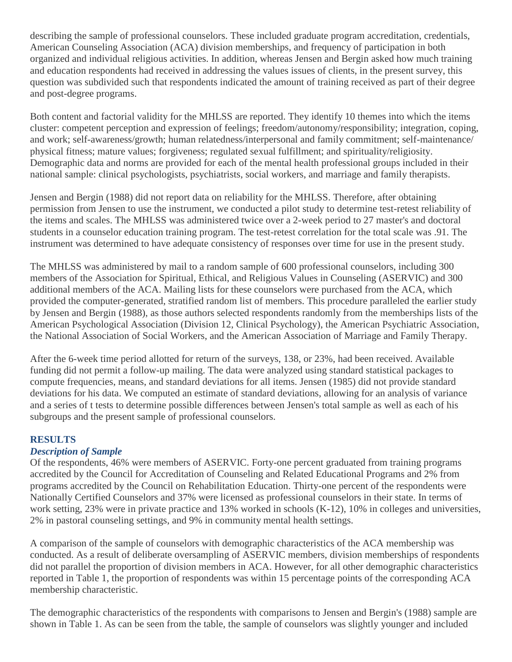describing the sample of professional counselors. These included graduate program accreditation, credentials, American Counseling Association (ACA) division memberships, and frequency of participation in both organized and individual religious activities. In addition, whereas Jensen and Bergin asked how much training and education respondents had received in addressing the values issues of clients, in the present survey, this question was subdivided such that respondents indicated the amount of training received as part of their degree and post-degree programs.

Both content and factorial validity for the MHLSS are reported. They identify 10 themes into which the items cluster: competent perception and expression of feelings; freedom/autonomy/responsibility; integration, coping, and work; self-awareness/growth; human relatedness/interpersonal and family commitment; self-maintenance/ physical fitness; mature values; forgiveness; regulated sexual fulfillment; and spirituality/religiosity. Demographic data and norms are provided for each of the mental health professional groups included in their national sample: clinical psychologists, psychiatrists, social workers, and marriage and family therapists.

Jensen and Bergin (1988) did not report data on reliability for the MHLSS. Therefore, after obtaining permission from Jensen to use the instrument, we conducted a pilot study to determine test-retest reliability of the items and scales. The MHLSS was administered twice over a 2-week period to 27 master's and doctoral students in a counselor education training program. The test-retest correlation for the total scale was .91. The instrument was determined to have adequate consistency of responses over time for use in the present study.

The MHLSS was administered by mail to a random sample of 600 professional counselors, including 300 members of the Association for Spiritual, Ethical, and Religious Values in Counseling (ASERVIC) and 300 additional members of the ACA. Mailing lists for these counselors were purchased from the ACA, which provided the computer-generated, stratified random list of members. This procedure paralleled the earlier study by Jensen and Bergin (1988), as those authors selected respondents randomly from the memberships lists of the American Psychological Association (Division 12, Clinical Psychology), the American Psychiatric Association, the National Association of Social Workers, and the American Association of Marriage and Family Therapy.

After the 6-week time period allotted for return of the surveys, 138, or 23%, had been received. Available funding did not permit a follow-up mailing. The data were analyzed using standard statistical packages to compute frequencies, means, and standard deviations for all items. Jensen (1985) did not provide standard deviations for his data. We computed an estimate of standard deviations, allowing for an analysis of variance and a series of t tests to determine possible differences between Jensen's total sample as well as each of his subgroups and the present sample of professional counselors.

# **[RESULTS](http://ehis.ebscohost.com/ehost/detail?vid=3&hid=5&sid=7e0a180f-4a32-419e-b908-8f75b1b1f7f6%40sessionmgr14&bdata=JnNpdGU9ZWhvc3QtbGl2ZQ%3d%3d#toc)**

### *Description of Sample*

Of the respondents, 46% were members of ASERVIC. Forty-one percent graduated from training programs accredited by the Council for Accreditation of Counseling and Related Educational Programs and 2% from programs accredited by the Council on Rehabilitation Education. Thirty-one percent of the respondents were Nationally Certified Counselors and 37% were licensed as professional counselors in their state. In terms of work setting, 23% were in private practice and 13% worked in schools (K-12), 10% in colleges and universities, 2% in pastoral counseling settings, and 9% in community mental health settings.

A comparison of the sample of counselors with demographic characteristics of the ACA membership was conducted. As a result of deliberate oversampling of ASERVIC members, division memberships of respondents did not parallel the proportion of division members in ACA. However, for all other demographic characteristics reported in Table 1, the proportion of respondents was within 15 percentage points of the corresponding ACA membership characteristic.

The demographic characteristics of the respondents with comparisons to Jensen and Bergin's (1988) sample are shown in Table 1. As can be seen from the table, the sample of counselors was slightly younger and included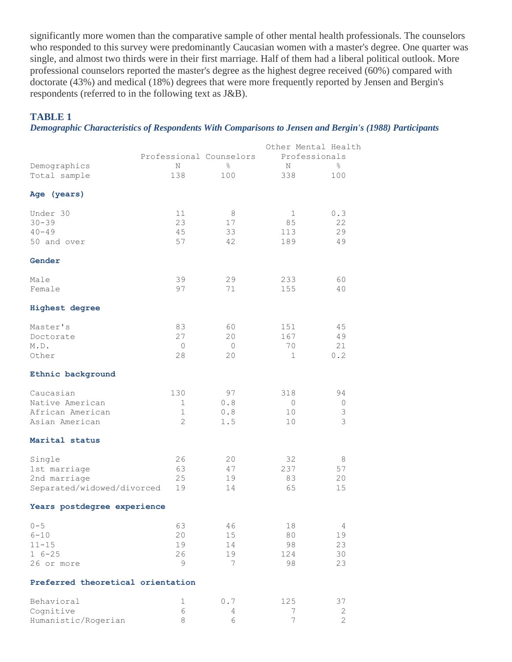significantly more women than the comparative sample of other mental health professionals. The counselors who responded to this survey were predominantly Caucasian women with a master's degree. One quarter was single, and almost two thirds were in their first marriage. Half of them had a liberal political outlook. More professional counselors reported the master's degree as the highest degree received (60%) compared with doctorate (43%) and medical (18%) degrees that were more frequently reported by Jensen and Bergin's respondents (referred to in the following text as J&B).

#### **TABLE 1**

#### *Demographic Characteristics of Respondents With Comparisons to Jensen and Bergin's (1988) Participants*

|                                   | Professional Counselors |                      | Other Mental Health<br>Professionals |                           |
|-----------------------------------|-------------------------|----------------------|--------------------------------------|---------------------------|
| Demographics<br>Total sample      | N<br>138                | $\frac{6}{5}$<br>100 | N<br>338                             | $\%$<br>100               |
| Age (years)                       |                         |                      |                                      |                           |
| Under 30                          | 11                      | 8                    | 1                                    | 0.3                       |
| $30 - 39$                         | 23                      | 17                   | 85                                   | 22                        |
| $40 - 49$<br>50 and over          | 45<br>57                | 33<br>42             | 113<br>189                           | 29<br>49                  |
| Gender                            |                         |                      |                                      |                           |
| Male                              | 39                      | 29                   | 233                                  | 60                        |
| Female                            | 97                      | 71                   | 155                                  | 40                        |
| <b>Highest degree</b>             |                         |                      |                                      |                           |
| Master's                          | 83                      | 60                   | 151                                  | 45                        |
| Doctorate                         | 27                      | 20                   | 167                                  | 49                        |
| M.D.                              | 0                       | $\Omega$             | 70                                   | 21                        |
| Other                             | 28                      | 20                   | 1                                    | 0.2                       |
| Ethnic background                 |                         |                      |                                      |                           |
| Caucasian                         | 130                     | 97                   | 318                                  | 94                        |
| Native American                   | 1                       | 0.8                  | 0                                    | 0                         |
| African American                  | $\mathbf 1$             | 0.8                  | 10                                   | $\ensuremath{\mathsf{3}}$ |
| Asian American                    | $\overline{2}$          | $1\,.5$              | 10                                   | 3                         |
| Marital status                    |                         |                      |                                      |                           |
| Single                            | 26                      | 20                   | 32                                   | 8                         |
| 1st marriage                      | 63                      | 47                   | 237                                  | 57                        |
| 2nd marriage                      | 25                      | 19                   | 83                                   | 20                        |
| Separated/widowed/divorced        | 19                      | 14                   | 65                                   | 15                        |
| Years postdegree experience       |                         |                      |                                      |                           |
| $0 - 5$                           | 63                      | 46                   | 18                                   | 4                         |
| $6 - 10$                          | 20                      | 15                   | 80                                   | 19                        |
| $11 - 15$                         | 19                      | 14                   | 98                                   | 23                        |
| $16 - -25$                        | 26                      | 19                   | 124                                  | 30                        |
| 26 or more                        | 9                       | 7                    | 98                                   | 23                        |
| Preferred theoretical orientation |                         |                      |                                      |                           |
| Behavioral                        | 1                       | 0.7                  | 125                                  | 37                        |
| Cognitive                         | 6                       | 4                    | 7                                    | 2                         |
| Humanistic/Rogerian               | 8                       | 6                    | 7                                    | $\overline{2}$            |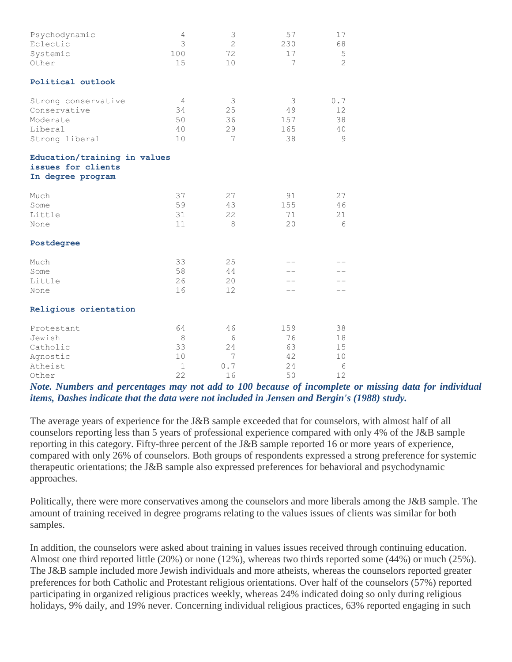| Psychodynamic<br>Eclectic    | 4<br>3      | 3<br>$\overline{2}$ | 57<br>230 | 17<br>68        |
|------------------------------|-------------|---------------------|-----------|-----------------|
| Systemic                     | 100         | 72                  | 17        | $\mathsf S$     |
| Other                        | 15          | 10                  | 7         | $\overline{2}$  |
|                              |             |                     |           |                 |
| Political outlook            |             |                     |           |                 |
| Strong conservative          | 4           | 3                   | 3         | 0.7             |
| Conservative                 | 34          | 25                  | 49        | 12 <sup>°</sup> |
| Moderate                     | 50          | 36                  | 157       | 38              |
| Liberal                      | 40          | 29                  | 165       | 40              |
| Strong liberal               | 10          | 7                   | 38        | 9               |
| Education/training in values |             |                     |           |                 |
| issues for clients           |             |                     |           |                 |
| In degree program            |             |                     |           |                 |
| Much                         | 37          | 27                  | 91        | 27              |
| Some                         | 59          | 43                  | 155       | 46              |
| Little                       | 31          | 22                  | 71        | 21              |
| None                         | 11          | 8                   | 20        | 6               |
| Postdegree                   |             |                     |           |                 |
|                              | 33          | 25                  |           |                 |
| Much<br>Some                 | 58          | 44                  |           |                 |
| Little                       | 26          | 20                  |           |                 |
| None                         | 16          | 12                  |           |                 |
|                              |             |                     |           |                 |
| Religious orientation        |             |                     |           |                 |
| Protestant                   | 64          | 46                  | 159       | 38              |
| Jewish                       | 8           | 6                   | 76        | 18              |
| Catholic                     | 33          | 24                  | 63        | 15              |
| Agnostic                     | 10          | 7                   | 42        | 10              |
| Atheist                      | $\mathbf 1$ | 0.7                 | 24        | 6               |
| Other                        | 22          | 16                  | 50        | 12              |

*Note. Numbers and percentages may not add to 100 because of incomplete or missing data for individual items, Dashes indicate that the data were not included in Jensen and Bergin's (1988) study.*

The average years of experience for the J&B sample exceeded that for counselors, with almost half of all counselors reporting less than 5 years of professional experience compared with only 4% of the J&B sample reporting in this category. Fifty-three percent of the J&B sample reported 16 or more years of experience, compared with only 26% of counselors. Both groups of respondents expressed a strong preference for systemic therapeutic orientations; the J&B sample also expressed preferences for behavioral and psychodynamic approaches.

Politically, there were more conservatives among the counselors and more liberals among the J&B sample. The amount of training received in degree programs relating to the values issues of clients was similar for both samples.

In addition, the counselors were asked about training in values issues received through continuing education. Almost one third reported little (20%) or none (12%), whereas two thirds reported some (44%) or much (25%). The J&B sample included more Jewish individuals and more atheists, whereas the counselors reported greater preferences for both Catholic and Protestant religious orientations. Over half of the counselors (57%) reported participating in organized religious practices weekly, whereas 24% indicated doing so only during religious holidays, 9% daily, and 19% never. Concerning individual religious practices, 63% reported engaging in such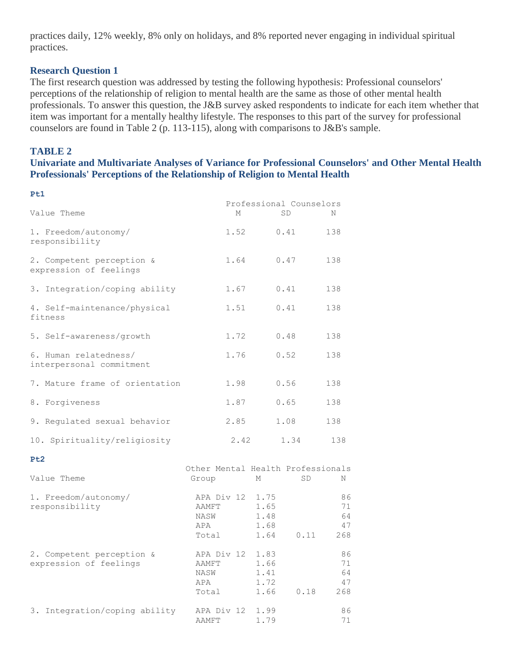practices daily, 12% weekly, 8% only on holidays, and 8% reported never engaging in individual spiritual practices.

#### **Research Question 1**

The first research question was addressed by testing the following hypothesis: Professional counselors' perceptions of the relationship of religion to mental health are the same as those of other mental health professionals. To answer this question, the J&B survey asked respondents to indicate for each item whether that item was important for a mentally healthy lifestyle. The responses to this part of the survey for professional counselors are found in Table 2 (p. 113-115), along with comparisons to J&B's sample.

## **TABLE 2**

**Pt1**

**Univariate and Multivariate Analyses of Variance for Professional Counselors' and Other Mental Health Professionals' Perceptions of the Relationship of Religion to Mental Health**

|                                                     |                                                  | Professional Counselors                    |           |                             |
|-----------------------------------------------------|--------------------------------------------------|--------------------------------------------|-----------|-----------------------------|
| Value Theme                                         | М                                                |                                            | <b>SD</b> | N                           |
| 1. Freedom/autonomy/<br>responsibility              | 1.52                                             |                                            | 0.41      | 138                         |
| 2. Competent perception &<br>expression of feelings | 1.64                                             | 0.47                                       |           | 138                         |
| 3. Integration/coping ability                       | 1.67                                             |                                            | 0.41      | 138                         |
| 4. Self-maintenance/physical<br>fitness             | 1.51                                             |                                            | 0.41      | 138                         |
| 5. Self-awareness/growth                            | 1.72                                             |                                            | 0.48      | 138                         |
| 6. Human relatedness/<br>interpersonal commitment   | 1.76                                             |                                            | 0.52      | 138                         |
| 7. Mature frame of orientation                      | 1.98                                             |                                            | 0.56      | 138                         |
| 8. Forgiveness                                      | 1.87                                             |                                            | 0.65      | 138                         |
| 9. Regulated sexual behavior                        | 2.85                                             |                                            | 1.08      | 138                         |
| 10. Spirituality/religiosity                        | 2.42                                             |                                            | 1.34      | 138                         |
| Pt <sub>2</sub>                                     |                                                  |                                            |           |                             |
| Value Theme                                         | Other Mental Health Professionals<br>Group       | М                                          | SD        | N                           |
| 1. Freedom/autonomy/<br>responsibility              | APA Div 12 1.75<br>AAMFT<br>NASW<br>APA<br>Total | 1.65<br>1.48<br>1.68<br>1.64               | 0.11      | 86<br>71<br>64<br>47<br>268 |
| 2. Competent perception &<br>expression of feelings | APA Div 12<br>AAMFT<br>NASW<br>APA<br>Total      | 1.83<br>1.66<br>$1\,.\,41$<br>1.72<br>1.66 | 0.18      | 86<br>71<br>64<br>47<br>268 |
| 3. Integration/coping ability                       | APA Div 12<br>AAMFT                              | 1.99<br>1.79                               |           | 86<br>71                    |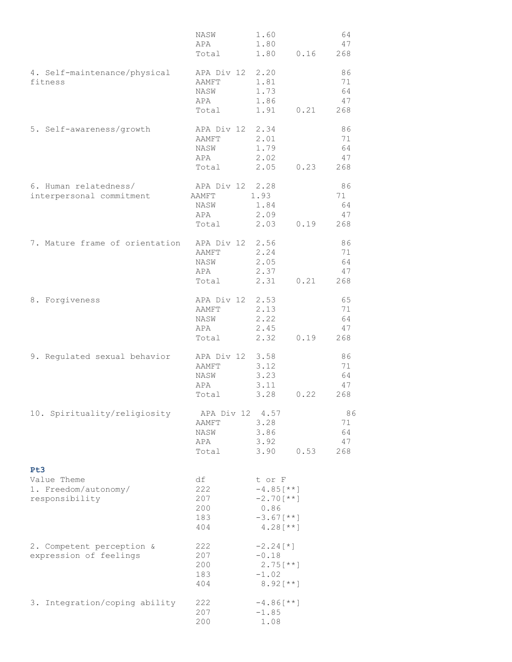|                                                              | NASW<br>APA<br>Total                             | 1.60<br>1.80<br>1.80                                                              | 0.16 | 64<br>47<br>268             |
|--------------------------------------------------------------|--------------------------------------------------|-----------------------------------------------------------------------------------|------|-----------------------------|
| 4. Self-maintenance/physical<br>fitness                      | APA Div 12<br>AAMFT<br>NASW<br>APA<br>Total      | 2.20<br>1.81<br>1.73<br>1.86<br>1.91                                              | 0.21 | 86<br>71<br>64<br>47<br>268 |
| 5. Self-awareness/growth                                     | APA Div 12<br>AAMFT<br>NASW<br>APA<br>Total      | 2.34<br>2.01<br>1.79<br>2.02<br>2.05                                              | 0.23 | 86<br>71<br>64<br>47<br>268 |
| 6. Human relatedness/<br>interpersonal commitment            | APA Div 12 2.28<br>AAMFT<br>NASW<br>APA<br>Total | 1.93<br>1.84<br>2.09<br>2.03                                                      | 0.19 | 86<br>71<br>64<br>47<br>268 |
| 7. Mature frame of orientation                               | APA Div 12<br>AAMFT<br>NASW<br>APA<br>Total      | 2.56<br>2.24<br>2.05<br>2.37<br>2.31                                              | 0.21 | 86<br>71<br>64<br>47<br>268 |
| 8. Forgiveness                                               | APA Div 12<br>AAMFT<br>NASW<br>APA<br>Total      | 2.53<br>2.13<br>2.22<br>2.45<br>2.32                                              | 0.19 | 65<br>71<br>64<br>47<br>268 |
| 9. Regulated sexual behavior                                 | APA Div 12 3.58<br>AAMFT<br>NASW<br>APA<br>Total | 3.12<br>3.23<br>3.11<br>3.28                                                      | 0.22 | 86<br>71<br>64<br>47<br>268 |
| 10. Spirituality/religiosity                                 | APA Div 12 4.57<br>AAMFT<br>NASW<br>APA<br>Total | 3.28<br>3.86<br>3.92<br>3.90                                                      | 0.53 | 86<br>71<br>64<br>47<br>268 |
| Pt3<br>Value Theme<br>1. Freedom/autonomy/<br>responsibility | df<br>222<br>207<br>200<br>183<br>404            | t or F<br>$-4.85$ [**]<br>$-2.70$ [**]<br>0.86<br>$-3.67$ [**]<br>$4.28$ [ $**$ ] |      |                             |
| 2. Competent perception &<br>expression of feelings          | 222<br>207<br>200<br>183<br>404                  | $-2.24$ [ $*$ ]<br>$-0.18$<br>$2.75$ [**]<br>$-1.02$<br>$8.92$ [**]               |      |                             |
| 3. Integration/coping ability                                | 222<br>207<br>200                                | $-4.86$ [**]<br>$-1.85$<br>1.08                                                   |      |                             |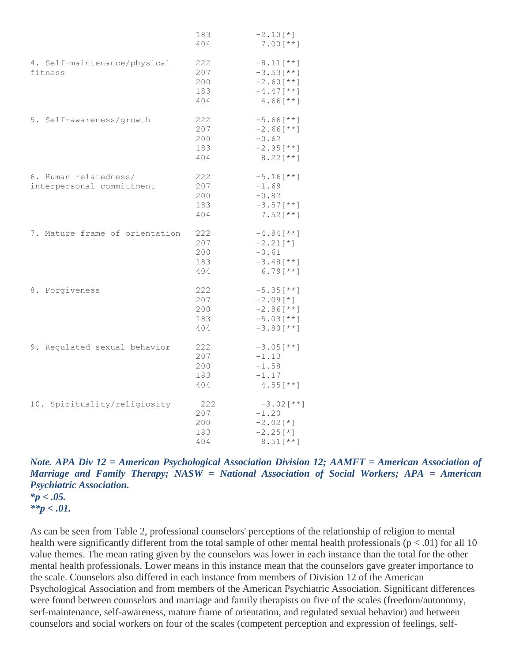|                                                    | 183<br>404                      | $-2.10[*]$<br>$7.00$ [ * * ]                                                |
|----------------------------------------------------|---------------------------------|-----------------------------------------------------------------------------|
| 4. Self-maintenance/physical<br>fitness            | 222<br>207<br>200<br>183<br>404 | $-8.11$ [**]<br>$-3.53$ [**]<br>$-2.60$ [**]<br>$-4.47$ [**]<br>$4.66$ [**] |
| 5. Self-awareness/growth                           | 222<br>207<br>200<br>183<br>404 | $-5.66$ [**]<br>$-2.66$ [**]<br>$-0.62$<br>$-2.95$ [**]<br>$8.22$ [**]      |
| 6. Human relatedness/<br>interpersonal committment | 222<br>207<br>200<br>183<br>404 | $-5.16$ [**]<br>$-1.69$<br>$-0.82$<br>$-3.57$ [**]<br>$7.52$ [**]           |
| 7. Mature frame of orientation                     | 222<br>207<br>200<br>183<br>404 | $-4.84$ [**]<br>$-2.21[*]$<br>$-0.61$<br>$-3.48$ [**]<br>$6.79$ [**]        |
| 8. Forgiveness                                     | 222<br>207<br>200<br>183<br>404 | $-5.35$ [**]<br>$-2.09$ [*]<br>$-2.86$ [**]<br>$-5.03$ [**]<br>$-3.80$ [**] |
| 9. Regulated sexual behavior                       | 222<br>207<br>200<br>183<br>404 | $-3.05$ [**]<br>$-1.13$<br>$-1.58$<br>$-1.17$<br>$4.55$ [**]                |
| 10. Spirituality/religiosity                       | 222<br>207<br>200<br>183<br>404 | $-3.02$ [**]<br>$-1.20$<br>$-2.02$ [*]<br>$-2.25$ [*]<br>$8.51$ [**]        |

*Note. APA Div 12 = American Psychological Association Division 12; AAMFT = American Association of Marriage and Family Therapy; NASW = National Association of Social Workers; APA = American Psychiatric Association. \*p < .05. \*\*p < .01.*

As can be seen from Table 2, professional counselors' perceptions of the relationship of religion to mental health were significantly different from the total sample of other mental health professionals ( $p < .01$ ) for all 10 value themes. The mean rating given by the counselors was lower in each instance than the total for the other mental health professionals. Lower means in this instance mean that the counselors gave greater importance to the scale. Counselors also differed in each instance from members of Division 12 of the American Psychological Association and from members of the American Psychiatric Association. Significant differences were found between counselors and marriage and family therapists on five of the scales (freedom/autonomy, serf-maintenance, self-awareness, mature frame of orientation, and regulated sexual behavior) and between counselors and social workers on four of the scales (competent perception and expression of feelings, self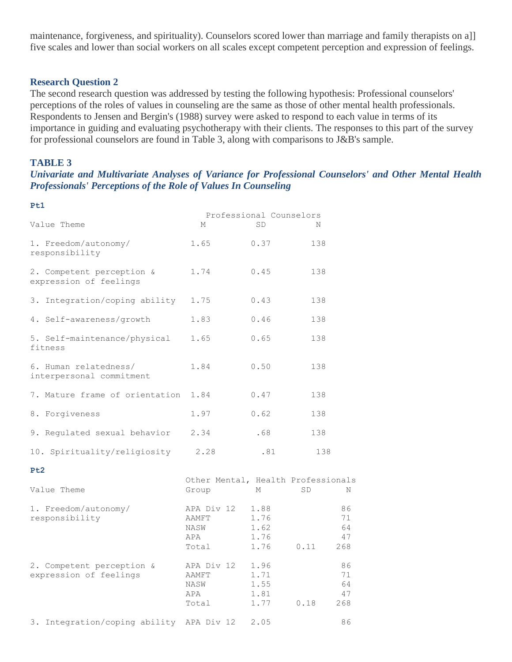maintenance, forgiveness, and spirituality). Counselors scored lower than marriage and family therapists on a]] five scales and lower than social workers on all scales except competent perception and expression of feelings.

#### **Research Question 2**

The second research question was addressed by testing the following hypothesis: Professional counselors' perceptions of the roles of values in counseling are the same as those of other mental health professionals. Respondents to Jensen and Bergin's (1988) survey were asked to respond to each value in terms of its importance in guiding and evaluating psychotherapy with their clients. The responses to this part of the survey for professional counselors are found in Table 3, along with comparisons to J&B's sample.

#### **TABLE 3**

**Pt1**

# *Univariate and Multivariate Analyses of Variance for Professional Counselors' and Other Mental Health Professionals' Perceptions of the Role of Values In Counseling*

|                                                     | Professional Counselors                     |                                      |           |                             |
|-----------------------------------------------------|---------------------------------------------|--------------------------------------|-----------|-----------------------------|
| Value Theme                                         | М                                           | SD                                   | N         |                             |
| 1. Freedom/autonomy/<br>responsibility              | 1.65                                        | 0.37                                 | 138       |                             |
| 2. Competent perception &<br>expression of feelings | 1.74                                        | 0.45                                 | 138       |                             |
| 3. Integration/coping ability                       | 1.75                                        | 0.43                                 | 138       |                             |
| 4. Self-awareness/growth                            | 1.83                                        | 0.46                                 | 138       |                             |
| 5. Self-maintenance/physical<br>fitness             | 1.65                                        | 0.65                                 | 138       |                             |
| 6. Human relatedness/<br>interpersonal commitment   | 1.84                                        | 0.50                                 | 138       |                             |
| 7. Mature frame of orientation 1.84                 |                                             | 0.47                                 | 138       |                             |
| 8. Forgiveness                                      | 1.97                                        | 0.62                                 | 138       |                             |
| 9. Regulated sexual behavior                        | 2.34                                        | .68                                  | 138       |                             |
| 10. Spirituality/religiosity 2.28                   |                                             | .81                                  | 138       |                             |
| P <sub>2</sub>                                      |                                             |                                      |           |                             |
| Value Theme                                         | Other Mental, Health Professionals<br>Group | М                                    | <b>SD</b> | N                           |
| 1. Freedom/autonomy/<br>responsibility              | APA Div 12<br>AAMFT<br>NASW<br>APA<br>Total | 1.88<br>1.76<br>1.62<br>1.76<br>1.76 | 0.11      | 86<br>71<br>64<br>47<br>268 |
| 2. Competent perception &<br>expression of feelings | APA Div 12<br>AAMFT<br>NASW<br>APA<br>Total | 1.96<br>1.71<br>1.55<br>1.81<br>1.77 | 0.18      | 86<br>71<br>64<br>47<br>268 |
| 3. Integration/coping ability APA Div 12            |                                             | 2.05                                 |           | 86                          |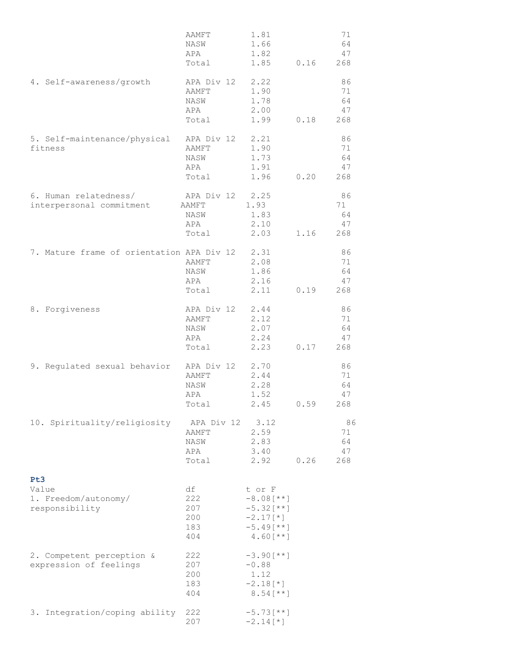|                                                        | AAMFT<br>NASW                                    | 1.81<br>1.66                                                                        |      | 71<br>64                    |
|--------------------------------------------------------|--------------------------------------------------|-------------------------------------------------------------------------------------|------|-----------------------------|
|                                                        | APA<br>Total                                     | 1.82<br>1.85                                                                        | 0.16 | 47<br>268                   |
| 4. Self-awareness/growth                               | APA Div 12 2.22<br>AAMFT<br>NASW<br>APA<br>Total | 1.90<br>1.78<br>2.00<br>1.99                                                        | 0.18 | 86<br>71<br>64<br>47<br>268 |
| 5. Self-maintenance/physical<br>fitness                | APA Div 12<br>AAMFT<br>NASW<br>APA<br>Total      | 2.21<br>1.90<br>1.73<br>1.91<br>1.96                                                | 0.20 | 86<br>71<br>64<br>47<br>268 |
| 6. Human relatedness/<br>interpersonal commitment      | APA Div 12 2.25<br>AAMFT<br>NASW<br>APA<br>Total | 1.93<br>1.83<br>2.10<br>2.03                                                        | 1.16 | 86<br>71<br>64<br>47<br>268 |
| 7. Mature frame of orientation APA Div 12 2.31         | AAMFT<br>NASW<br>APA<br>Total                    | 2.08<br>1.86<br>2.16<br>2.11                                                        | 0.19 | 86<br>71<br>64<br>47<br>268 |
| 8. Forgiveness                                         | APA Div 12 2.44<br>AAMFT<br>NASW<br>APA<br>Total | 2.12<br>2.07<br>2.24<br>2.23                                                        | 0.17 | 86<br>71<br>64<br>47<br>268 |
| 9. Regulated sexual behavior                           | APA Div 12 2.70<br>AAMFT<br>NASW<br>APA<br>Total | 2.44<br>2.28<br>1.52<br>2.45                                                        | 0.59 | 86<br>71<br>64<br>47<br>268 |
| 10. Spirituality/religiosity                           | APA Div 12 3.12<br>AAMFT<br>NASW<br>APA<br>Total | 2.59<br>2.83<br>3.40<br>2.92                                                        | 0.26 | 86<br>71<br>64<br>47<br>268 |
| Pt3<br>Value<br>1. Freedom/autonomy/<br>responsibility | df<br>222<br>207<br>200<br>183<br>404            | t or F<br>$-8.08$ [**]<br>$-5.32$ [**]<br>$-2.17[*]$<br>$-5.49$ [**]<br>$4.60$ [**] |      |                             |
| 2. Competent perception &<br>expression of feelings    | 222<br>207<br>200<br>183<br>404                  | $-3.90$ [**]<br>$-0.88$<br>1.12<br>$-2.18[*]$<br>$8.54$ [**]                        |      |                             |
| 3. Integration/coping ability                          | 222<br>207                                       | $-5.73$ [**]<br>$-2.14$ [*]                                                         |      |                             |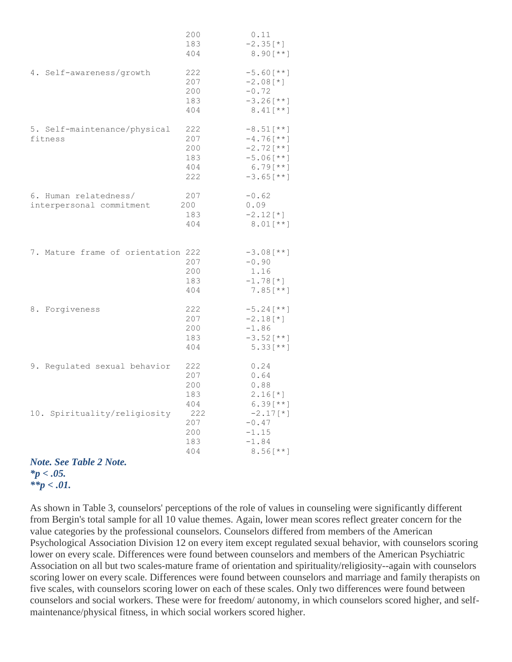|                                                               | 200<br>183<br>404                      | 0.11<br>$-2.35[*r]$<br>$8.90$ [**]                                                          |
|---------------------------------------------------------------|----------------------------------------|---------------------------------------------------------------------------------------------|
| 4. Self-awareness/growth                                      | 222<br>207<br>200<br>183<br>404        | $-5.60$ [**]<br>$-2.08$ [ $*$ ]<br>$-0.72$<br>$-3.26$ [**]<br>$8.41[**]$                    |
| 5. Self-maintenance/physical<br>fitness                       | 222<br>207<br>200<br>183<br>404<br>222 | $-8.51$ [**]<br>$-4.76$ [**]<br>$-2.72$ [**]<br>$-5.06$ [**]<br>$6.79$ [**]<br>$-3.65$ [**] |
| 6. Human relatedness/<br>interpersonal commitment             | 207<br>200<br>183<br>404               | $-0.62$<br>0.09<br>$-2.12[*]$<br>$8.01$ [ * * ]                                             |
| 7. Mature frame of orientation 222                            | 207<br>200<br>183<br>404               | $-3.08$ [**]<br>$-0.90$<br>1.16<br>$-1.78$ [*]<br>$7.85$ [**]                               |
| 8. Forgiveness                                                | 222<br>207<br>200<br>183<br>404        | $-5.24$ [**]<br>$-2.18[*]$<br>$-1.86$<br>$-3.52$ [**]<br>$5.33[**!]$                        |
| 9. Regulated sexual behavior                                  | 222<br>207<br>200<br>183<br>404        | 0.24<br>0.64<br>0.88<br>$2.16[*]$<br>$6.39[**]$                                             |
| 10. Spirituality/religiosity                                  | 222<br>207<br>200<br>183<br>404        | $-2.17[*]$<br>$-0.47$<br>$-1.15$<br>$-1.84$<br>$8.56$ [**]                                  |
| Note. See Table 2 Note.<br><i>*p</i> < −05.<br>** $p < .01$ . |                                        |                                                                                             |

As shown in Table 3, counselors' perceptions of the role of values in counseling were significantly different from Bergin's total sample for all 10 value themes. Again, lower mean scores reflect greater concern for the value categories by the professional counselors. Counselors differed from members of the American Psychological Association Division 12 on every item except regulated sexual behavior, with counselors scoring lower on every scale. Differences were found between counselors and members of the American Psychiatric Association on all but two scales-mature frame of orientation and spirituality/religiosity--again with counselors scoring lower on every scale. Differences were found between counselors and marriage and family therapists on five scales, with counselors scoring lower on each of these scales. Only two differences were found between counselors and social workers. These were for freedom/ autonomy, in which counselors scored higher, and selfmaintenance/physical fitness, in which social workers scored higher.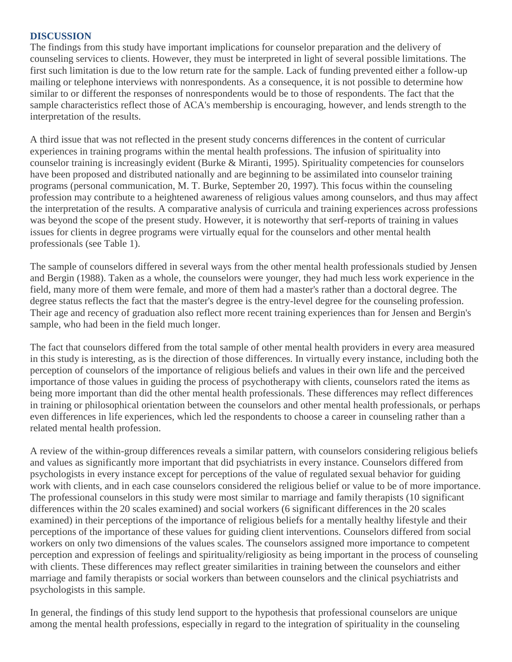## **[DISCUSSION](http://ehis.ebscohost.com/ehost/detail?vid=3&hid=5&sid=7e0a180f-4a32-419e-b908-8f75b1b1f7f6%40sessionmgr14&bdata=JnNpdGU9ZWhvc3QtbGl2ZQ%3d%3d#toc)**

The findings from this study have important implications for counselor preparation and the delivery of counseling services to clients. However, they must be interpreted in light of several possible limitations. The first such limitation is due to the low return rate for the sample. Lack of funding prevented either a follow-up mailing or telephone interviews with nonrespondents. As a consequence, it is not possible to determine how similar to or different the responses of nonrespondents would be to those of respondents. The fact that the sample characteristics reflect those of ACA's membership is encouraging, however, and lends strength to the interpretation of the results.

A third issue that was not reflected in the present study concerns differences in the content of curricular experiences in training programs within the mental health professions. The infusion of spirituality into counselor training is increasingly evident (Burke & Miranti, 1995). Spirituality competencies for counselors have been proposed and distributed nationally and are beginning to be assimilated into counselor training programs (personal communication, M. T. Burke, September 20, 1997). This focus within the counseling profession may contribute to a heightened awareness of religious values among counselors, and thus may affect the interpretation of the results. A comparative analysis of curricula and training experiences across professions was beyond the scope of the present study. However, it is noteworthy that serf-reports of training in values issues for clients in degree programs were virtually equal for the counselors and other mental health professionals (see Table 1).

The sample of counselors differed in several ways from the other mental health professionals studied by Jensen and Bergin (1988). Taken as a whole, the counselors were younger, they had much less work experience in the field, many more of them were female, and more of them had a master's rather than a doctoral degree. The degree status reflects the fact that the master's degree is the entry-level degree for the counseling profession. Their age and recency of graduation also reflect more recent training experiences than for Jensen and Bergin's sample, who had been in the field much longer.

The fact that counselors differed from the total sample of other mental health providers in every area measured in this study is interesting, as is the direction of those differences. In virtually every instance, including both the perception of counselors of the importance of religious beliefs and values in their own life and the perceived importance of those values in guiding the process of psychotherapy with clients, counselors rated the items as being more important than did the other mental health professionals. These differences may reflect differences in training or philosophical orientation between the counselors and other mental health professionals, or perhaps even differences in life experiences, which led the respondents to choose a career in counseling rather than a related mental health profession.

A review of the within-group differences reveals a similar pattern, with counselors considering religious beliefs and values as significantly more important that did psychiatrists in every instance. Counselors differed from psychologists in every instance except for perceptions of the value of regulated sexual behavior for guiding work with clients, and in each case counselors considered the religious belief or value to be of more importance. The professional counselors in this study were most similar to marriage and family therapists (10 significant differences within the 20 scales examined) and social workers (6 significant differences in the 20 scales examined) in their perceptions of the importance of religious beliefs for a mentally healthy lifestyle and their perceptions of the importance of these values for guiding client interventions. Counselors differed from social workers on only two dimensions of the values scales. The counselors assigned more importance to competent perception and expression of feelings and spirituality/religiosity as being important in the process of counseling with clients. These differences may reflect greater similarities in training between the counselors and either marriage and family therapists or social workers than between counselors and the clinical psychiatrists and psychologists in this sample.

In general, the findings of this study lend support to the hypothesis that professional counselors are unique among the mental health professions, especially in regard to the integration of spirituality in the counseling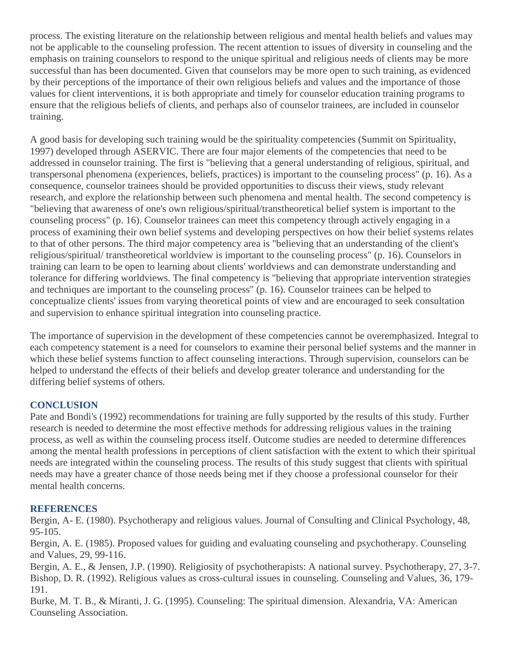process. The existing literature on the relationship between religious and mental health beliefs and values may not be applicable to the counseling profession. The recent attention to issues of diversity in counseling and the emphasis on training counselors to respond to the unique spiritual and religious needs of clients may be more successful than has been documented. Given that counselors may be more open to such training, as evidenced by their perceptions of the importance of their own religious beliefs and values and the importance of those values for client interventions, it is both appropriate and timely for counselor education training programs to ensure that the religious beliefs of clients, and perhaps also of counselor trainees, are included in counselor training.

A good basis for developing such training would be the spirituality competencies (Summit on Spirituality, 1997) developed through ASERVIC. There are four major elements of the competencies that need to be addressed in counselor training. The first is "believing that a general understanding of religious, spiritual, and transpersonal phenomena (experiences, beliefs, practices) is important to the counseling process" (p. 16). As a consequence, counselor trainees should be provided opportunities to discuss their views, study relevant research, and explore the relationship between such phenomena and mental health. The second competency is "believing that awareness of one's own religious/spiritual/transtheoretical belief system is important to the counseling process" (p. 16). Counselor trainees can meet this competency through actively engaging in a process of examining their own belief systems and developing perspectives on how their belief systems relates to that of other persons. The third major competency area is "believing that an understanding of the client's religious/spiritual/ transtheoretical worldview is important to the counseling process" (p. 16). Counselors in training can learn to be open to learning about clients' worldviews and can demonstrate understanding and tolerance for differing worldviews. The final competency is "believing that appropriate intervention strategies and techniques are important to the counseling process" (p. 16). Counselor trainees can be helped to conceptualize clients' issues from varying theoretical points of view and are encouraged to seek consultation and supervision to enhance spiritual integration into counseling practice.

The importance of supervision in the development of these competencies cannot be overemphasized. Integral to each competency statement is a need for counselors to examine their personal belief systems and the manner in which these belief systems function to affect counseling interactions. Through supervision, counselors can be helped to understand the effects of their beliefs and develop greater tolerance and understanding for the differing belief systems of others.

# **[CONCLUSION](http://ehis.ebscohost.com/ehost/detail?vid=3&hid=5&sid=7e0a180f-4a32-419e-b908-8f75b1b1f7f6%40sessionmgr14&bdata=JnNpdGU9ZWhvc3QtbGl2ZQ%3d%3d#toc)**

Pate and Bondi's (1992) recommendations for training are fully supported by the results of this study. Further research is needed to determine the most effective methods for addressing religious values in the training process, as well as within the counseling process itself. Outcome studies are needed to determine differences among the mental health professions in perceptions of client satisfaction with the extent to which their spiritual needs are integrated within the counseling process. The results of this study suggest that clients with spiritual needs may have a greater chance of those needs being met if they choose a professional counselor for their mental health concerns.

# **[REFERENCES](http://ehis.ebscohost.com/ehost/detail?vid=3&hid=5&sid=7e0a180f-4a32-419e-b908-8f75b1b1f7f6%40sessionmgr14&bdata=JnNpdGU9ZWhvc3QtbGl2ZQ%3d%3d#toc)**

Bergin, A- E. (1980). Psychotherapy and religious values. Journal of Consulting and Clinical Psychology, 48, 95-105.

Bergin, A. E. (1985). Proposed values for guiding and evaluating counseling and psychotherapy. Counseling and Values, 29, 99-116.

Bergin, A. E., & Jensen, J.P. (1990). Religiosity of psychotherapists: A national survey. Psychotherapy, 27, 3-7. Bishop, D. R. (1992). Religious values as cross-cultural issues in counseling. Counseling and Values, 36, 179- 191.

Burke, M. T. B., & Miranti, J. G. (1995). Counseling: The spiritual dimension. Alexandria, VA: American Counseling Association.